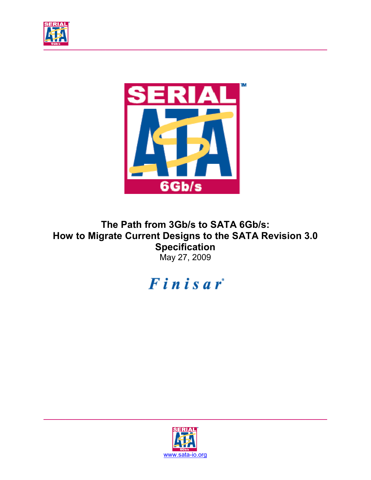



**The Path from 3Gb/s to SATA 6Gb/s: How to Migrate Current Designs to the SATA Revision 3.0 Specification**  May 27, 2009



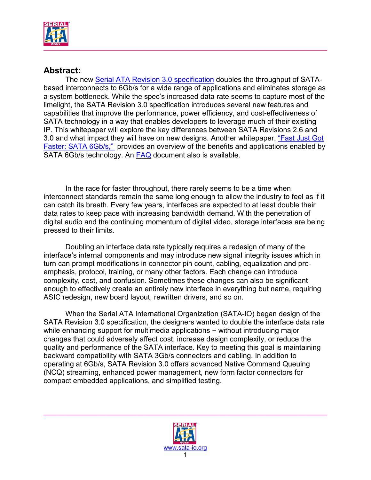

#### **Abstract:**

The new [Serial ATA Revision 3.0 specification](http://www.sata-io.org/technology/6Gbdetails.asp) doubles the throughput of SATAbased interconnects to 6Gb/s for a wide range of applications and eliminates storage as a system bottleneck. While the spec's increased data rate seems to capture most of the limelight, the SATA Revision 3.0 specification introduces several new features and capabilities that improve the performance, power efficiency, and cost-effectiveness of SATA technology in a way that enables developers to leverage much of their existing IP. This whitepaper will explore the key differences between SATA Revisions 2.6 and 3.0 and what impact they will have on new designs. Another whitepaper, ["Fast Just Got](http://www.serialata.org/developers/technical_library.asp)  [Faster: SATA 6Gb/s," p](http://www.serialata.org/developers/technical_library.asp)rovides an overview of the benefits and applications enabled by SATA 6Gb/s technology. An **FAQ** document also is available.

 In the race for faster throughput, there rarely seems to be a time when interconnect standards remain the same long enough to allow the industry to feel as if it can catch its breath. Every few years, interfaces are expected to at least double their data rates to keep pace with increasing bandwidth demand. With the penetration of digital audio and the continuing momentum of digital video, storage interfaces are being pressed to their limits.

 Doubling an interface data rate typically requires a redesign of many of the interface's internal components and may introduce new signal integrity issues which in turn can prompt modifications in connector pin count, cabling, equalization and preemphasis, protocol, training, or many other factors. Each change can introduce complexity, cost, and confusion. Sometimes these changes can also be significant enough to effectively create an entirely new interface in everything but name, requiring ASIC redesign, new board layout, rewritten drivers, and so on.

 When the Serial ATA International Organization (SATA-IO) began design of the SATA Revision 3.0 specification, the designers wanted to double the interface data rate while enhancing support for multimedia applications − without introducing major changes that could adversely affect cost, increase design complexity, or reduce the quality and performance of the SATA interface. Key to meeting this goal is maintaining backward compatibility with SATA 3Gb/s connectors and cabling. In addition to operating at 6Gb/s, SATA Revision 3.0 offers advanced Native Command Queuing (NCQ) streaming, enhanced power management, new form factor connectors for compact embedded applications, and simplified testing.

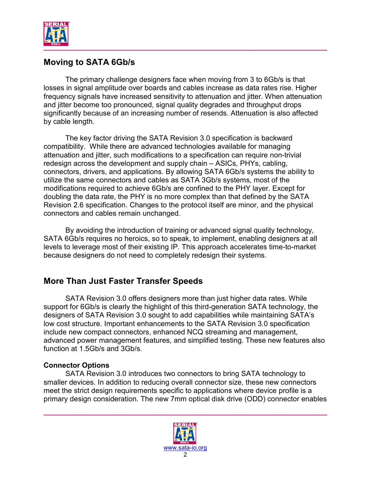

## **Moving to SATA 6Gb/s**

 The primary challenge designers face when moving from 3 to 6Gb/s is that losses in signal amplitude over boards and cables increase as data rates rise. Higher frequency signals have increased sensitivity to attenuation and jitter. When attenuation and jitter become too pronounced, signal quality degrades and throughput drops significantly because of an increasing number of resends. Attenuation is also affected by cable length.

The key factor driving the SATA Revision 3.0 specification is backward compatibility. While there are advanced technologies available for managing attenuation and jitter, such modifications to a specification can require non-trivial redesign across the development and supply chain – ASICs, PHYs, cabling, connectors, drivers, and applications. By allowing SATA 6Gb/s systems the ability to utilize the same connectors and cables as SATA 3Gb/s systems, most of the modifications required to achieve 6Gb/s are confined to the PHY layer. Except for doubling the data rate, the PHY is no more complex than that defined by the SATA Revision 2.6 specification. Changes to the protocol itself are minor, and the physical connectors and cables remain unchanged.

By avoiding the introduction of training or advanced signal quality technology, SATA 6Gb/s requires no heroics, so to speak, to implement, enabling designers at all levels to leverage most of their existing IP. This approach accelerates time-to-market because designers do not need to completely redesign their systems.

#### **More Than Just Faster Transfer Speeds**

SATA Revision 3.0 offers designers more than just higher data rates. While support for 6Gb/s is clearly the highlight of this third-generation SATA technology, the designers of SATA Revision 3.0 sought to add capabilities while maintaining SATA's low cost structure. Important enhancements to the SATA Revision 3.0 specification include new compact connectors, enhanced NCQ streaming and management, advanced power management features, and simplified testing. These new features also function at 1.5Gb/s and 3Gb/s.

#### **Connector Options**

SATA Revision 3.0 introduces two connectors to bring SATA technology to smaller devices. In addition to reducing overall connector size, these new connectors meet the strict design requirements specific to applications where device profile is a primary design consideration. The new 7mm optical disk drive (ODD) connector enables

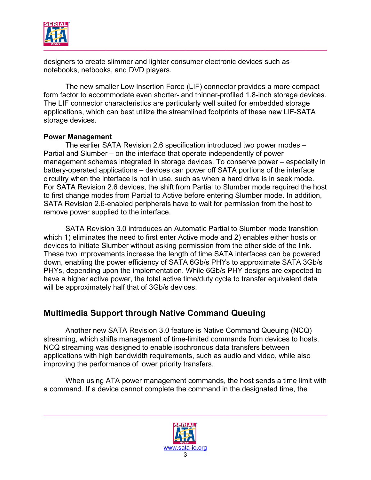

designers to create slimmer and lighter consumer electronic devices such as notebooks, netbooks, and DVD players.

The new smaller Low Insertion Force (LIF) connector provides a more compact form factor to accommodate even shorter- and thinner-profiled 1.8-inch storage devices. The LIF connector characteristics are particularly well suited for embedded storage applications, which can best utilize the streamlined footprints of these new LIF-SATA storage devices.

#### **Power Management**

The earlier SATA Revision 2.6 specification introduced two power modes – Partial and Slumber – on the interface that operate independently of power management schemes integrated in storage devices. To conserve power – especially in battery-operated applications – devices can power off SATA portions of the interface circuitry when the interface is not in use, such as when a hard drive is in seek mode. For SATA Revision 2.6 devices, the shift from Partial to Slumber mode required the host to first change modes from Partial to Active before entering Slumber mode. In addition, SATA Revision 2.6-enabled peripherals have to wait for permission from the host to remove power supplied to the interface.

SATA Revision 3.0 introduces an Automatic Partial to Slumber mode transition which 1) eliminates the need to first enter Active mode and 2) enables either hosts or devices to initiate Slumber without asking permission from the other side of the link. These two improvements increase the length of time SATA interfaces can be powered down, enabling the power efficiency of SATA 6Gb/s PHYs to approximate SATA 3Gb/s PHYs, depending upon the implementation. While 6Gb/s PHY designs are expected to have a higher active power, the total active time/duty cycle to transfer equivalent data will be approximately half that of 3Gb/s devices.

#### **Multimedia Support through Native Command Queuing**

 Another new SATA Revision 3.0 feature is Native Command Queuing (NCQ) streaming, which shifts management of time-limited commands from devices to hosts. NCQ streaming was designed to enable isochronous data transfers between applications with high bandwidth requirements, such as audio and video, while also improving the performance of lower priority transfers.

When using ATA power management commands, the host sends a time limit with a command. If a device cannot complete the command in the designated time, the

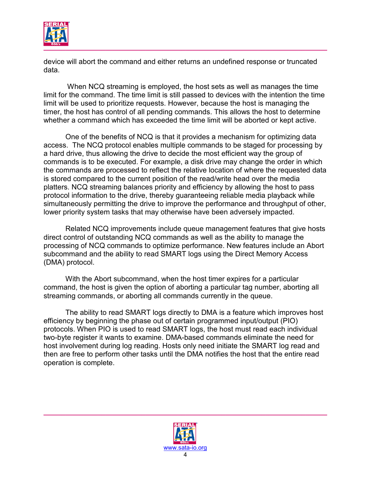

device will abort the command and either returns an undefined response or truncated data.

 When NCQ streaming is employed, the host sets as well as manages the time limit for the command. The time limit is still passed to devices with the intention the time limit will be used to prioritize requests. However, because the host is managing the timer, the host has control of all pending commands. This allows the host to determine whether a command which has exceeded the time limit will be aborted or kept active.

 One of the benefits of NCQ is that it provides a mechanism for optimizing data access. The NCQ protocol enables multiple commands to be staged for processing by a hard drive, thus allowing the drive to decide the most efficient way the group of commands is to be executed. For example, a disk drive may change the order in which the commands are processed to reflect the relative location of where the requested data is stored compared to the current position of the read/write head over the media platters. NCQ streaming balances priority and efficiency by allowing the host to pass protocol information to the drive, thereby guaranteeing reliable media playback while simultaneously permitting the drive to improve the performance and throughput of other, lower priority system tasks that may otherwise have been adversely impacted.

 Related NCQ improvements include queue management features that give hosts direct control of outstanding NCQ commands as well as the ability to manage the processing of NCQ commands to optimize performance. New features include an Abort subcommand and the ability to read SMART logs using the Direct Memory Access (DMA) protocol.

With the Abort subcommand, when the host timer expires for a particular command, the host is given the option of aborting a particular tag number, aborting all streaming commands, or aborting all commands currently in the queue.

The ability to read SMART logs directly to DMA is a feature which improves host efficiency by beginning the phase out of certain programmed input/output (PIO) protocols. When PIO is used to read SMART logs, the host must read each individual two-byte register it wants to examine. DMA-based commands eliminate the need for host involvement during log reading. Hosts only need initiate the SMART log read and then are free to perform other tasks until the DMA notifies the host that the entire read operation is complete.

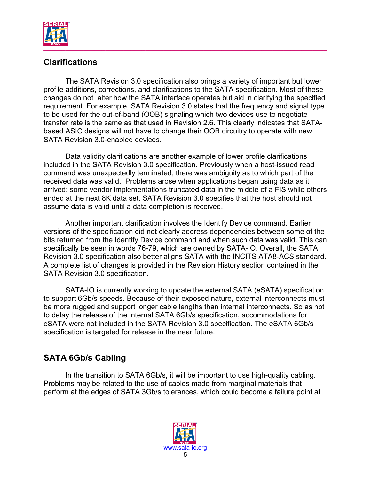

## **Clarifications**

 The SATA Revision 3.0 specification also brings a variety of important but lower profile additions, corrections, and clarifications to the SATA specification. Most of these changes do not alter how the SATA interface operates but aid in clarifying the specified requirement. For example, SATA Revision 3.0 states that the frequency and signal type to be used for the out-of-band (OOB) signaling which two devices use to negotiate transfer rate is the same as that used in Revision 2.6. This clearly indicates that SATAbased ASIC designs will not have to change their OOB circuitry to operate with new SATA Revision 3.0-enabled devices.

Data validity clarifications are another example of lower profile clarifications included in the SATA Revision 3.0 specification. Previously when a host-issued read command was unexpectedly terminated, there was ambiguity as to which part of the received data was valid. Problems arose when applications began using data as it arrived; some vendor implementations truncated data in the middle of a FIS while others ended at the next 8K data set. SATA Revision 3.0 specifies that the host should not assume data is valid until a data completion is received.

Another important clarification involves the Identify Device command. Earlier versions of the specification did not clearly address dependencies between some of the bits returned from the Identify Device command and when such data was valid. This can specifically be seen in words 76-79, which are owned by SATA-IO. Overall, the SATA Revision 3.0 specification also better aligns SATA with the INCITS ATA8-ACS standard. A complete list of changes is provided in the Revision History section contained in the SATA Revision 3.0 specification.

 SATA-IO is currently working to update the external SATA (eSATA) specification to support 6Gb/s speeds. Because of their exposed nature, external interconnects must be more rugged and support longer cable lengths than internal interconnects. So as not to delay the release of the internal SATA 6Gb/s specification, accommodations for eSATA were not included in the SATA Revision 3.0 specification. The eSATA 6Gb/s specification is targeted for release in the near future.

# **SATA 6Gb/s Cabling**

 In the transition to SATA 6Gb/s, it will be important to use high-quality cabling. Problems may be related to the use of cables made from marginal materials that perform at the edges of SATA 3Gb/s tolerances, which could become a failure point at

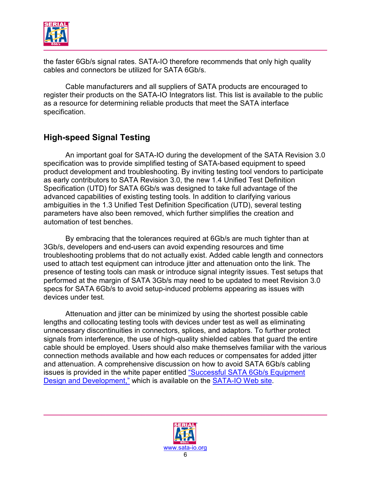

the faster 6Gb/s signal rates. SATA-IO therefore recommends that only high quality cables and connectors be utilized for SATA 6Gb/s.

Cable manufacturers and all suppliers of SATA products are encouraged to register their products on the SATA-IO Integrators list. This list is available to the public as a resource for determining reliable products that meet the SATA interface specification.

## **High-speed Signal Testing**

 An important goal for SATA-IO during the development of the SATA Revision 3.0 specification was to provide simplified testing of SATA-based equipment to speed product development and troubleshooting. By inviting testing tool vendors to participate as early contributors to SATA Revision 3.0, the new 1.4 Unified Test Definition Specification (UTD) for SATA 6Gb/s was designed to take full advantage of the advanced capabilities of existing testing tools. In addition to clarifying various ambiguities in the 1.3 Unified Test Definition Specification (UTD), several testing parameters have also been removed, which further simplifies the creation and automation of test benches.

By embracing that the tolerances required at 6Gb/s are much tighter than at 3Gb/s, developers and end-users can avoid expending resources and time troubleshooting problems that do not actually exist. Added cable length and connectors used to attach test equipment can introduce jitter and attenuation onto the link. The presence of testing tools can mask or introduce signal integrity issues. Test setups that performed at the margin of SATA 3Gb/s may need to be updated to meet Revision 3.0 specs for SATA 6Gb/s to avoid setup-induced problems appearing as issues with devices under test.

Attenuation and jitter can be minimized by using the shortest possible cable lengths and collocating testing tools with devices under test as well as eliminating unnecessary discontinuities in connectors, splices, and adaptors. To further protect signals from interference, the use of high-quality shielded cables that guard the entire cable should be employed. Users should also make themselves familiar with the various connection methods available and how each reduces or compensates for added jitter and attenuation. A comprehensive discussion on how to avoid SATA 6Gb/s cabling issues is provided in the white paper entitled ["Successful SATA 6Gb/s Equipment](http://www.serialata.org/documents/SATA-6gbs-equipment-design-and-development-finisar.pdf)  [Design and Development,"](http://www.serialata.org/documents/SATA-6gbs-equipment-design-and-development-finisar.pdf) which is available on the SATA-IO Web site.

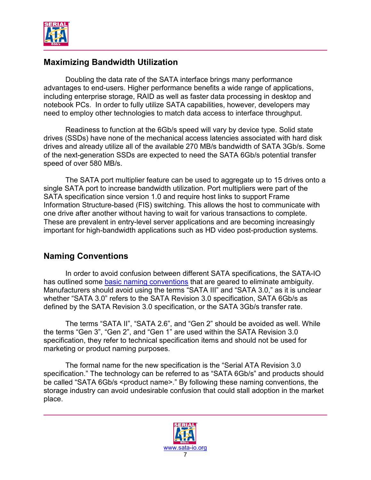

### **Maximizing Bandwidth Utilization**

 Doubling the data rate of the SATA interface brings many performance advantages to end-users. Higher performance benefits a wide range of applications, including enterprise storage, RAID as well as faster data processing in desktop and notebook PCs. In order to fully utilize SATA capabilities, however, developers may need to employ other technologies to match data access to interface throughput.

Readiness to function at the 6Gb/s speed will vary by device type. Solid state drives (SSDs) have none of the mechanical access latencies associated with hard disk drives and already utilize all of the available 270 MB/s bandwidth of SATA 3Gb/s. Some of the next-generation SSDs are expected to need the SATA 6Gb/s potential transfer speed of over 580 MB/s.

The SATA port multiplier feature can be used to aggregate up to 15 drives onto a single SATA port to increase bandwidth utilization. Port multipliers were part of the SATA specification since version 1.0 and require host links to support Frame Information Structure-based (FIS) switching. This allows the host to communicate with one drive after another without having to wait for various transactions to complete. These are prevalent in entry-level server applications and are becoming increasingly important for high-bandwidth applications such as HD video post-production systems.

## **Naming Conventions**

 In order to avoid confusion between different SATA specifications, the SATA-IO has outlined some [basic naming conventions](http://www.serialata.org/developers/naming_guidelines.asp) that are geared to eliminate ambiguity. Manufacturers should avoid using the terms "SATA III" and "SATA 3.0," as it is unclear whether "SATA 3.0" refers to the SATA Revision 3.0 specification, SATA 6Gb/s as defined by the SATA Revision 3.0 specification, or the SATA 3Gb/s transfer rate.

The terms "SATA II", "SATA 2.6", and "Gen 2" should be avoided as well. While the terms "Gen 3", "Gen 2", and "Gen 1" are used within the SATA Revision 3.0 specification, they refer to technical specification items and should not be used for marketing or product naming purposes.

 The formal name for the new specification is the "Serial ATA Revision 3.0 specification." The technology can be referred to as "SATA 6Gb/s" and products should be called "SATA 6Gb/s <product name>." By following these naming conventions, the storage industry can avoid undesirable confusion that could stall adoption in the market place.